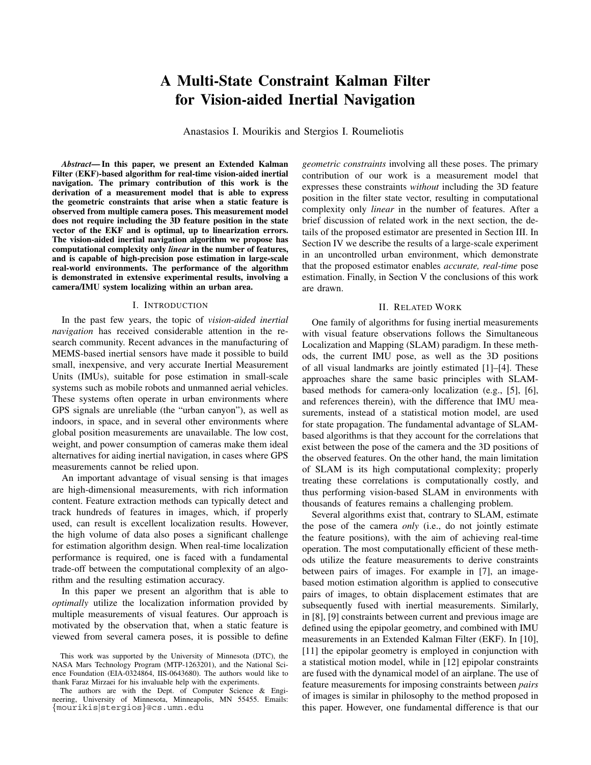# **A Multi-State Constraint Kalman Filter for Vision-aided Inertial Navigation**

Anastasios I. Mourikis and Stergios I. Roumeliotis

*Abstract***— In this paper, we present an Extended Kalman Filter (EKF)-based algorithm for real-time vision-aided inertial navigation. The primary contribution of this work is the derivation of a measurement model that is able to express the geometric constraints that arise when a static feature is observed from multiple camera poses. This measurement model does not require including the 3D feature position in the state vector of the EKF and is optimal, up to linearization errors. The vision-aided inertial navigation algorithm we propose has computational complexity only** *linear* **in the number of features, and is capable of high-precision pose estimation in large-scale real-world environments. The performance of the algorithm is demonstrated in extensive experimental results, involving a camera/IMU system localizing within an urban area.**

#### I. INTRODUCTION

In the past few years, the topic of *vision-aided inertial navigation* has received considerable attention in the research community. Recent advances in the manufacturing of MEMS-based inertial sensors have made it possible to build small, inexpensive, and very accurate Inertial Measurement Units (IMUs), suitable for pose estimation in small-scale systems such as mobile robots and unmanned aerial vehicles. These systems often operate in urban environments where GPS signals are unreliable (the "urban canyon"), as well as indoors, in space, and in several other environments where global position measurements are unavailable. The low cost, weight, and power consumption of cameras make them ideal alternatives for aiding inertial navigation, in cases where GPS measurements cannot be relied upon.

An important advantage of visual sensing is that images are high-dimensional measurements, with rich information content. Feature extraction methods can typically detect and track hundreds of features in images, which, if properly used, can result is excellent localization results. However, the high volume of data also poses a significant challenge for estimation algorithm design. When real-time localization performance is required, one is faced with a fundamental trade-off between the computational complexity of an algorithm and the resulting estimation accuracy.

In this paper we present an algorithm that is able to *optimally* utilize the localization information provided by multiple measurements of visual features. Our approach is motivated by the observation that, when a static feature is viewed from several camera poses, it is possible to define *geometric constraints* involving all these poses. The primary contribution of our work is a measurement model that expresses these constraints *without* including the 3D feature position in the filter state vector, resulting in computational complexity only *linear* in the number of features. After a brief discussion of related work in the next section, the details of the proposed estimator are presented in Section III. In Section IV we describe the results of a large-scale experiment in an uncontrolled urban environment, which demonstrate that the proposed estimator enables *accurate, real-time* pose estimation. Finally, in Section V the conclusions of this work are drawn.

# II. RELATED WORK

One family of algorithms for fusing inertial measurements with visual feature observations follows the Simultaneous Localization and Mapping (SLAM) paradigm. In these methods, the current IMU pose, as well as the 3D positions of all visual landmarks are jointly estimated [1]–[4]. These approaches share the same basic principles with SLAMbased methods for camera-only localization (e.g., [5], [6], and references therein), with the difference that IMU measurements, instead of a statistical motion model, are used for state propagation. The fundamental advantage of SLAMbased algorithms is that they account for the correlations that exist between the pose of the camera and the 3D positions of the observed features. On the other hand, the main limitation of SLAM is its high computational complexity; properly treating these correlations is computationally costly, and thus performing vision-based SLAM in environments with thousands of features remains a challenging problem.

Several algorithms exist that, contrary to SLAM, estimate the pose of the camera *only* (i.e., do not jointly estimate the feature positions), with the aim of achieving real-time operation. The most computationally efficient of these methods utilize the feature measurements to derive constraints between pairs of images. For example in [7], an imagebased motion estimation algorithm is applied to consecutive pairs of images, to obtain displacement estimates that are subsequently fused with inertial measurements. Similarly, in [8], [9] constraints between current and previous image are defined using the epipolar geometry, and combined with IMU measurements in an Extended Kalman Filter (EKF). In [10], [11] the epipolar geometry is employed in conjunction with a statistical motion model, while in [12] epipolar constraints are fused with the dynamical model of an airplane. The use of feature measurements for imposing constraints between *pairs* of images is similar in philosophy to the method proposed in this paper. However, one fundamental difference is that our

This work was supported by the University of Minnesota (DTC), the NASA Mars Technology Program (MTP-1263201), and the National Science Foundation (EIA-0324864, IIS-0643680). The authors would like to thank Faraz Mirzaei for his invaluable help with the experiments.

The authors are with the Dept. of Computer Science & Engineering, University of Minnesota, Minneapolis, MN 55455. Emails: *{*mourikis*|*stergios*}*@cs.umn.edu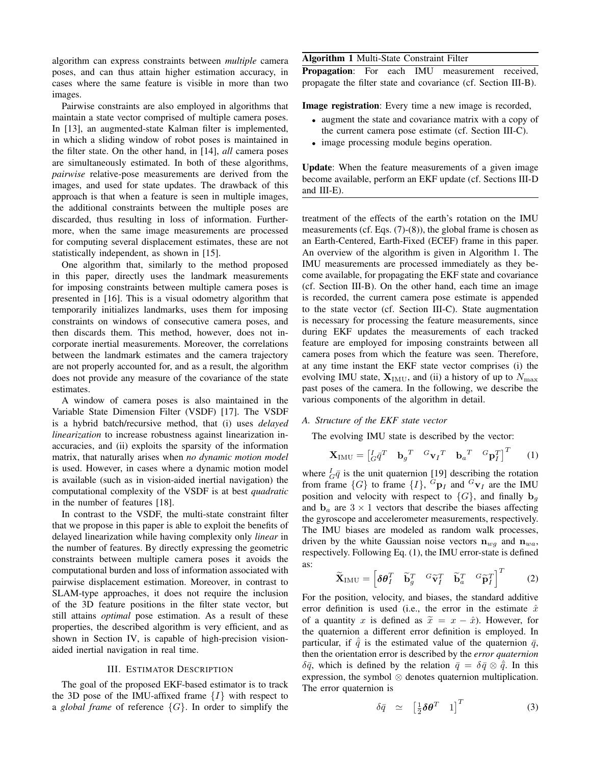algorithm can express constraints between *multiple* camera poses, and can thus attain higher estimation accuracy, in cases where the same feature is visible in more than two images.

Pairwise constraints are also employed in algorithms that maintain a state vector comprised of multiple camera poses. In [13], an augmented-state Kalman filter is implemented, in which a sliding window of robot poses is maintained in the filter state. On the other hand, in [14], *all* camera poses are simultaneously estimated. In both of these algorithms, *pairwise* relative-pose measurements are derived from the images, and used for state updates. The drawback of this approach is that when a feature is seen in multiple images, the additional constraints between the multiple poses are discarded, thus resulting in loss of information. Furthermore, when the same image measurements are processed for computing several displacement estimates, these are not statistically independent, as shown in [15].

One algorithm that, similarly to the method proposed in this paper, directly uses the landmark measurements for imposing constraints between multiple camera poses is presented in [16]. This is a visual odometry algorithm that temporarily initializes landmarks, uses them for imposing constraints on windows of consecutive camera poses, and then discards them. This method, however, does not incorporate inertial measurements. Moreover, the correlations between the landmark estimates and the camera trajectory are not properly accounted for, and as a result, the algorithm does not provide any measure of the covariance of the state estimates.

A window of camera poses is also maintained in the Variable State Dimension Filter (VSDF) [17]. The VSDF is a hybrid batch/recursive method, that (i) uses *delayed linearization* to increase robustness against linearization inaccuracies, and (ii) exploits the sparsity of the information matrix, that naturally arises when *no dynamic motion model* is used. However, in cases where a dynamic motion model is available (such as in vision-aided inertial navigation) the computational complexity of the VSDF is at best *quadratic* in the number of features [18].

In contrast to the VSDF, the multi-state constraint filter that we propose in this paper is able to exploit the benefits of delayed linearization while having complexity only *linear* in the number of features. By directly expressing the geometric constraints between multiple camera poses it avoids the computational burden and loss of information associated with pairwise displacement estimation. Moreover, in contrast to SLAM-type approaches, it does not require the inclusion of the 3D feature positions in the filter state vector, but still attains *optimal* pose estimation. As a result of these properties, the described algorithm is very efficient, and as shown in Section IV, is capable of high-precision visionaided inertial navigation in real time.

# III. ESTIMATOR DESCRIPTION

The goal of the proposed EKF-based estimator is to track the 3D pose of the IMU-affixed frame  $\{I\}$  with respect to a *global frame* of reference {G}. In order to simplify the

# **Algorithm 1** Multi-State Constraint Filter

**Propagation**: For each IMU measurement received, propagate the filter state and covariance (cf. Section III-B).

**Image registration**: Every time a new image is recorded,

- augment the state and covariance matrix with a copy of the current camera pose estimate (cf. Section III-C).
- image processing module begins operation.

**Update**: When the feature measurements of a given image become available, perform an EKF update (cf. Sections III-D and III-E).

treatment of the effects of the earth's rotation on the IMU measurements (cf. Eqs. (7)-(8)), the global frame is chosen as an Earth-Centered, Earth-Fixed (ECEF) frame in this paper. An overview of the algorithm is given in Algorithm 1. The IMU measurements are processed immediately as they become available, for propagating the EKF state and covariance (cf. Section III-B). On the other hand, each time an image is recorded, the current camera pose estimate is appended to the state vector (cf. Section III-C). State augmentation is necessary for processing the feature measurements, since during EKF updates the measurements of each tracked feature are employed for imposing constraints between all camera poses from which the feature was seen. Therefore, at any time instant the EKF state vector comprises (i) the evolving IMU state,  $X_{IMU}$ , and (ii) a history of up to  $N_{\text{max}}$ past poses of the camera. In the following, we describe the various components of the algorithm in detail.

# *A. Structure of the EKF state vector*

The evolving IMU state is described by the vector:

$$
\mathbf{X}_{\text{IMU}} = \begin{bmatrix} I_G \bar{q}^T & \mathbf{b}_g^T & G_{\mathbf{V}_I}^T & \mathbf{b}_a^T & G_{\mathbf{P}_I}^T \end{bmatrix}^T \qquad (1)
$$

where  $\frac{I}{G}\bar{q}$  is the unit quaternion [19] describing the rotation from frame  $\{G\}$  to frame  $\{I\}$ ,  ${}^{G}P$ I and  ${}^{G}V$ I are the IMU position and velocity with respect to  $\{G\}$ , and finally  $\mathbf{b}_q$ and  $\mathbf{b}_a$  are  $3 \times 1$  vectors that describe the biases affecting the gyroscope and accelerometer measurements, respectively. The IMU biases are modeled as random walk processes, driven by the white Gaussian noise vectors  $\mathbf{n}_{wg}$  and  $\mathbf{n}_{wa}$ , respectively. Following Eq. (1), the IMU error-state is defined as:

$$
\widetilde{\mathbf{X}}_{\text{IMU}} = \begin{bmatrix} \delta \theta_I^T & \widetilde{\mathbf{b}}_g^T & {}^G \widetilde{\mathbf{v}}_I^T & \widetilde{\mathbf{b}}_a^T & {}^G \widetilde{\mathbf{p}}_I^T \end{bmatrix}^T \qquad (2)
$$

For the position, velocity, and biases, the standard additive error definition is used (i.e., the error in the estimate  $\hat{x}$ of a quantity x is defined as  $\tilde{x} = x - \hat{x}$ . However, for the quaternion a different error definition is employed. In particular, if  $\hat{q}$  is the estimated value of the quaternion  $\bar{q}$ , then the orientation error is described by the *error quaternion*  $\delta \bar{q}$ , which is defined by the relation  $\bar{q} = \delta \bar{q} \otimes \hat{\bar{q}}$ . In this expression, the symbol ⊗ denotes quaternion multiplication. The error quaternion is

$$
\delta \bar{q} \simeq \begin{bmatrix} \frac{1}{2} \delta \theta^T & 1 \end{bmatrix}^T \tag{3}
$$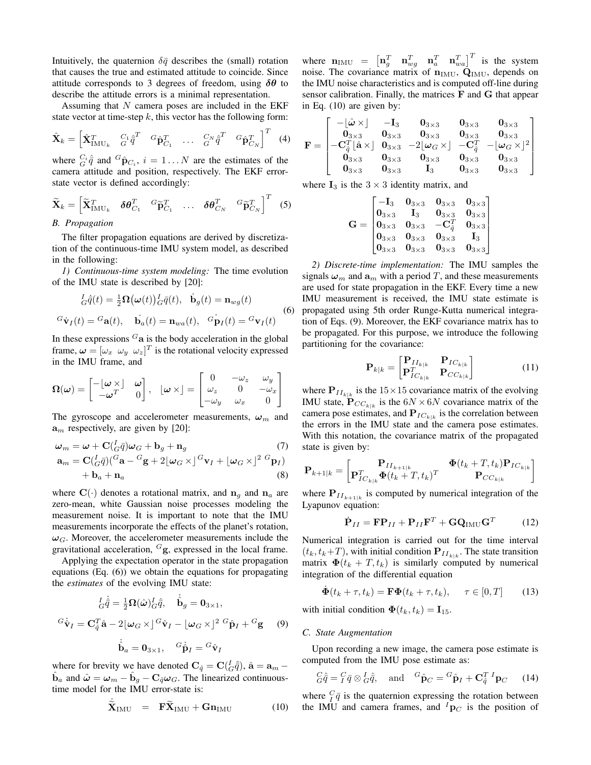Intuitively, the quaternion  $\delta \bar{q}$  describes the (small) rotation that causes the true and estimated attitude to coincide. Since attitude corresponds to 3 degrees of freedom, using *δθ* to describe the attitude errors is a minimal representation.

Assuming that  $N$  camera poses are included in the EKF state vector at time-step  $k$ , this vector has the following form:

$$
\hat{\mathbf{X}}_k = \begin{bmatrix} \hat{\mathbf{X}}_{\text{IMU}_k}^T & C_1 \hat{\bar{q}}^T & G \hat{\mathbf{p}}_{C_1}^T & \dots & C_N \hat{\bar{q}}^T & G \hat{\mathbf{p}}_{C_N}^T \end{bmatrix}^T \tag{4}
$$

where  $C_i \hat{q}$  and  $G \hat{p}_{C_i}$ ,  $i = 1...N$  are the estimates of the camera attitude and position respectively. The EKE errorcamera attitude and position, respectively. The EKF errorstate vector is defined accordingly:

$$
\widetilde{\mathbf{X}}_k = \begin{bmatrix} \widetilde{\mathbf{X}}_{\text{IMU}_k}^T & \delta \boldsymbol{\theta}_{C_1}^T & {}^G \widetilde{\mathbf{p}}_{C_1}^T & \dots & \delta \boldsymbol{\theta}_{C_N}^T & {}^G \widetilde{\mathbf{p}}_{C_N}^T \end{bmatrix}^T \quad (5)
$$

#### *B. Propagation*

The filter propagation equations are derived by discretization of the continuous-time IMU system model, as described in the following:

*1) Continuous-time system modeling:* The time evolution of the IMU state is described by [20]:

$$
{}_{G}^{I}\dot{\bar{q}}(t) = \frac{1}{2}\Omega\big(\omega(t)\big)_{G}^{I}\bar{q}(t), \quad \dot{\mathbf{b}}_{g}(t) = \mathbf{n}_{wg}(t)
$$
\n
$$
{}^{G}\dot{\mathbf{v}}_{I}(t) = {}^{G}\mathbf{a}(t), \quad \dot{\mathbf{b}}_{a}(t) = \mathbf{n}_{wa}(t), \quad {}^{G}\dot{\mathbf{p}}_{I}(t) = {}^{G}\mathbf{v}_{I}(t)
$$
\n(6)

In these expressions  $G_{\mathbf{a}}$  is the body acceleration in the global frame,  $\boldsymbol{\omega} = [\omega_x \ \omega_y \ \omega_z]^T$  is the rotational velocity expressed in the IMU frame, and

$$
\Omega(\omega) = \begin{bmatrix} -\lfloor \omega \times \rfloor & \omega \\ -\omega^T & 0 \end{bmatrix}, \quad \lfloor \omega \times \rfloor = \begin{bmatrix} 0 & -\omega_z & \omega_y \\ \omega_z & 0 & -\omega_x \\ -\omega_y & \omega_x & 0 \end{bmatrix}
$$

The gyroscope and accelerometer measurements,  $\omega_m$  and  $a_m$  respectively, are given by [20]:

$$
\omega_m = \omega + \mathbf{C}(\frac{I}{G}\overline{q})\omega_G + \mathbf{b}_g + \mathbf{n}_g
$$
\n
$$
\mathbf{a}_m = \mathbf{C}(\frac{I}{G}\overline{q})(^G\mathbf{a} - ^G\mathbf{g} + 2[\omega_G \times ]^G\mathbf{v}_I + [\omega_G \times ]^{2} {^G\mathbf{p}_I})
$$
\n(7)

$$
+ \mathbf{b}_a + \mathbf{n}_a \tag{8}
$$

where  $\mathbf{C}(\cdot)$  denotes a rotational matrix, and  $\mathbf{n}_q$  and  $\mathbf{n}_a$  are zero-mean, white Gaussian noise processes modeling the measurement noise. It is important to note that the IMU measurements incorporate the effects of the planet's rotation,  $\omega_G$ . Moreover, the accelerometer measurements include the gravitational acceleration,  $G_{\mathbf{g}}$ , expressed in the local frame.

Applying the expectation operator in the state propagation equations (Eq. (6)) we obtain the equations for propagating the *estimates* of the evolving IMU state:

$$
{}_{G}\dot{\hat{q}} = {}_{\frac{1}{2}}\Omega(\hat{\omega}){}_{G}^{I}\hat{\hat{q}}, \quad \dot{\hat{b}}_{g} = \mathbf{0}_{3\times 1},
$$

$$
{}_{G}\dot{\hat{\mathbf{v}}}_{I} = \mathbf{C}_{\hat{q}}^{T}\hat{\mathbf{a}} - 2\left[\omega_{G}\times\right]{}^{G}\hat{\mathbf{v}}_{I} - \left[\omega_{G}\times\right]^{2}{}^{G}\hat{\mathbf{p}}_{I} + {}^{G}\mathbf{g} \quad (9)
$$

$$
\dot{\hat{\mathbf{b}}}_{a} = \mathbf{0}_{3\times 1}, \quad {}^{G}\dot{\hat{\mathbf{p}}}_{I} = {}^{G}\hat{\mathbf{v}}_{I}
$$

where for brevity we have denoted  $\mathbf{C}_{\hat{q}} = \mathbf{C}(\frac{I}{G}\hat{q})$ ,  $\hat{\mathbf{a}} = \mathbf{a}_m - \hat{\mathbf{b}}$ , and  $\hat{\mathbf{c}} = \hat{\mathbf{c}} \cdot \mathbf{b} = \mathbf{C} \cdot \hat{\mathbf{c}}$ . The linearized continuous  $\mathbf{b}_a$  and  $\hat{\boldsymbol{\omega}} = \boldsymbol{\omega}_m - \mathbf{b}_g - \mathbf{C}_{\hat{q}} \boldsymbol{\omega}_G$ . The linearized continuoustime model for the IMU error-state is:

$$
\dot{\widetilde{\mathbf{X}}}_{IMU} = \mathbf{F}\widetilde{\mathbf{X}}_{IMU} + \mathbf{G}\mathbf{n}_{IMU}
$$
 (10)

where  $\mathbf{n}_{\text{IMU}} = \begin{bmatrix} \mathbf{n}_g^T & \mathbf{n}_{wg}^T & \mathbf{n}_a^T & \mathbf{n}_{wa}^T \end{bmatrix}^T$  is the system<br>noise The covariance matrix of  $\mathbf{n}_{\text{DMU}}$  Op *u* depends on noise. The covariance matrix of  $n_{IMU}$ ,  $Q_{IMU}$ , depends on the IMU noise characteristics and is computed off-line during sensor calibration. Finally, the matrices **F** and **G** that appear in Eq. (10) are given by:

$$
\mathbf{F} = \begin{bmatrix} -\lfloor \hat{\boldsymbol{\omega}} \times \rfloor & -\mathbf{I}_3 & \mathbf{0}_{3 \times 3} & \mathbf{0}_{3 \times 3} & \mathbf{0}_{3 \times 3} \\ \mathbf{0}_{3 \times 3} & \mathbf{0}_{3 \times 3} & \mathbf{0}_{3 \times 3} & \mathbf{0}_{3 \times 3} & \mathbf{0}_{3 \times 3} \\ -\mathbf{C}_4^T \lfloor \hat{\mathbf{a}} \times \rfloor & \mathbf{0}_{3 \times 3} & -2 \lfloor \boldsymbol{\omega}_G \times \rfloor & -\mathbf{C}_4^T & -\lfloor \boldsymbol{\omega}_G \times \rfloor^2 \\ \mathbf{0}_{3 \times 3} & \mathbf{0}_{3 \times 3} & \mathbf{0}_{3 \times 3} & \mathbf{0}_{3 \times 3} & \mathbf{0}_{3 \times 3} \\ \mathbf{0}_{3 \times 3} & \mathbf{0}_{3 \times 3} & \mathbf{I}_3 & \mathbf{0}_{3 \times 3} & \mathbf{0}_{3 \times 3} \end{bmatrix}
$$

where  $I_3$  is the  $3 \times 3$  identity matrix, and

$$
\mathbf{G} = \begin{bmatrix} -\mathbf{I}_3 & \mathbf{0}_{3 \times 3} & \mathbf{0}_{3 \times 3} & \mathbf{0}_{3 \times 3} \\ \mathbf{0}_{3 \times 3} & \mathbf{I}_3 & \mathbf{0}_{3 \times 3} & \mathbf{0}_{3 \times 3} \\ \mathbf{0}_{3 \times 3} & \mathbf{0}_{3 \times 3} & -\mathbf{C}_q^T & \mathbf{0}_{3 \times 3} \\ \mathbf{0}_{3 \times 3} & \mathbf{0}_{3 \times 3} & \mathbf{0}_{3 \times 3} & \mathbf{I}_3 \\ \mathbf{0}_{3 \times 3} & \mathbf{0}_{3 \times 3} & \mathbf{0}_{3 \times 3} & \mathbf{0}_{3 \times 3} \end{bmatrix}
$$

*2) Discrete-time implementation:* The IMU samples the signals  $\omega_m$  and  $\mathbf{a}_m$  with a period T, and these measurements are used for state propagation in the EKF. Every time a new IMU measurement is received, the IMU state estimate is propagated using 5th order Runge-Kutta numerical integration of Eqs. (9). Moreover, the EKF covariance matrix has to be propagated. For this purpose, we introduce the following partitioning for the covariance:

$$
\mathbf{P}_{k|k} = \begin{bmatrix} \mathbf{P}_{II_{k|k}} & \mathbf{P}_{IC_{k|k}} \\ \mathbf{P}_{IC_{k|k}}^T & \mathbf{P}_{CC_{k|k}} \end{bmatrix}
$$
 (11)

where  $P_{II_{k|k}}$  is the 15×15 covariance matrix of the evolving IMU state,  $P_{CC_{k|k}}$  is the  $6N \times 6N$  covariance matrix of the camera pose estimates, and  $P_{IC_{k|k}}$  is the correlation between the errors in the IMU state and the camera pose estimates. With this notation, the covariance matrix of the propagated state is given by:

$$
\mathbf{P}_{k+1|k} = \begin{bmatrix} \mathbf{P}_{II_{k+1|k}} & \Phi(t_k+T, t_k) \mathbf{P}_{IC_{k|k}} \\ \mathbf{P}_{IC_{k|k}}^T \Phi(t_k+T, t_k)^T & \mathbf{P}_{CC_{k|k}} \end{bmatrix}
$$

where  $P_{II_{k+1|k}}$  is computed by numerical integration of the Lyapunov equation:

$$
\dot{\mathbf{P}}_{II} = \mathbf{F} \mathbf{P}_{II} + \mathbf{P}_{II} \mathbf{F}^T + \mathbf{G} \mathbf{Q}_{\text{IMU}} \mathbf{G}^T \tag{12}
$$

Numerical integration is carried out for the time interval  $(t_k, t_k+T)$ , with initial condition  $P_{II_{k|k}}$ . The state transition matrix  $\Phi(t_k + T, t_k)$  is similarly computed by numerical integration of the differential equation

$$
\dot{\boldsymbol{\Phi}}(t_k + \tau, t_k) = \mathbf{F} \boldsymbol{\Phi}(t_k + \tau, t_k), \quad \tau \in [0, T] \qquad (13)
$$

with initial condition  $\mathbf{\Phi}(t_k, t_k) = \mathbf{I}_{15}$ .

# *C. State Augmentation*

Upon recording a new image, the camera pose estimate is computed from the IMU pose estimate as:

$$
{}_{G}^{C}\hat{\bar{q}} = {}_{I}^{C}\bar{q} \otimes {}_{G}^{I}\hat{\bar{q}}, \text{ and } {}^{G}\hat{\mathbf{p}}_{C} = {}^{G}\hat{\mathbf{p}}_{I} + \mathbf{C}_{\hat{q}}^{T} {}^{I}\mathbf{p}_{C} \qquad (14)
$$

where  ${}_{I}^{C}\bar{q}$  is the quaternion expressing the rotation between the IMU and camera frames, and  ${}^{I}P_{C}$  is the position of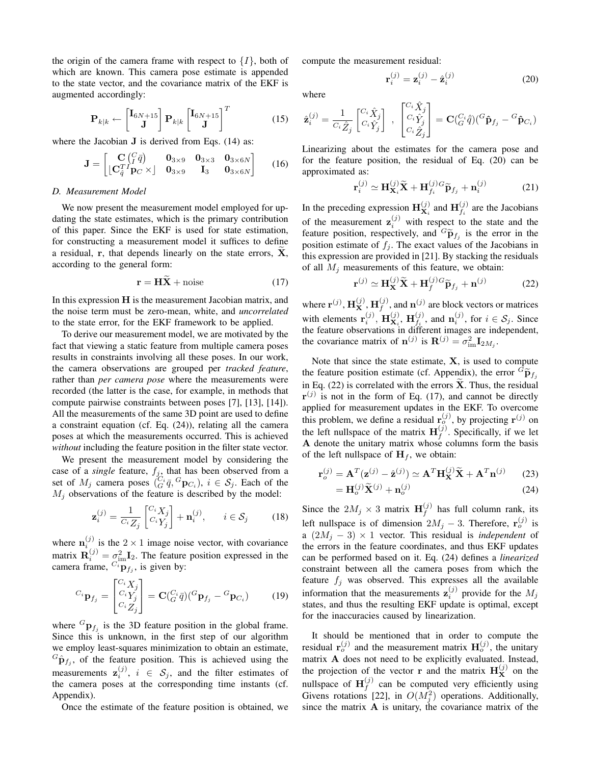the origin of the camera frame with respect to  $\{I\}$ , both of which are known. This camera pose estimate is appended to the state vector, and the covariance matrix of the EKF is augmented accordingly:

$$
\mathbf{P}_{k|k} \leftarrow \begin{bmatrix} \mathbf{I}_{6N+15} \\ \mathbf{J} \end{bmatrix} \mathbf{P}_{k|k} \begin{bmatrix} \mathbf{I}_{6N+15} \\ \mathbf{J} \end{bmatrix}^T \tag{15}
$$

where the Jacobian **J** is derived from Eqs. (14) as:

$$
\mathbf{J} = \begin{bmatrix} \mathbf{C} \begin{bmatrix} G \bar{q} \end{bmatrix} & \mathbf{0}_{3 \times 9} & \mathbf{0}_{3 \times 3} & \mathbf{0}_{3 \times 6N} \\ \mathbf{C}^{TT}_{\hat{q}} \mathbf{p}_C \times \end{bmatrix} & \mathbf{0}_{3 \times 9} & \mathbf{0}_{3 \times 9} & \mathbf{0}_{3 \times 6N} \\ \mathbf{0}_{3 \times 6N} & \mathbf{0}_{3 \times 6N} & \mathbf{0}_{3 \times 6N} \end{bmatrix}
$$
 (16)

# *D. Measurement Model*

We now present the measurement model employed for updating the state estimates, which is the primary contribution of this paper. Since the EKF is used for state estimation, for constructing a measurement model it suffices to define a residual, **r**, that depends linearly on the state errors, **X** , according to the general form:

$$
\mathbf{r} = \mathbf{H}\widetilde{\mathbf{X}} + \text{noise} \tag{17}
$$

In this expression **H** is the measurement Jacobian matrix, and the noise term must be zero-mean, white, and *uncorrelated* to the state error, for the EKF framework to be applied.

To derive our measurement model, we are motivated by the fact that viewing a static feature from multiple camera poses results in constraints involving all these poses. In our work, the camera observations are grouped per *tracked feature*, rather than *per camera pose* where the measurements were recorded (the latter is the case, for example, in methods that compute pairwise constraints between poses [7], [13], [14]). All the measurements of the same 3D point are used to define a constraint equation (cf. Eq. (24)), relating all the camera poses at which the measurements occurred. This is achieved *without* including the feature position in the filter state vector.

We present the measurement model by considering the case of a *single* feature,  $f_j$ , that has been observed from a set of  $M_j$  camera poses  $(\mathcal{C}_i^i \bar{q}, G_{\mathbf{p}_{C_i}})$ ,  $i \in S_j$ . Each of the  $M_j$  observations of the feature is described by the model:  $M_j$  observations of the feature is described by the model:

$$
\mathbf{z}_{i}^{(j)} = \frac{1}{C_{i} Z_{j}} \begin{bmatrix} C_{i} X_{j} \\ C_{i} Y_{j} \end{bmatrix} + \mathbf{n}_{i}^{(j)}, \qquad i \in S_{j} \tag{18}
$$

where  $\mathbf{n}_i^{(j)}$  is the  $2 \times 1$  image noise vector, with covariance<br>matrix  $\mathbf{P}^{(j)} = \sigma^2 \mathbf{I}$ . The fecture position expressed in the matrix  $\mathbf{R}_i^{(j)} = \sigma_{\text{im}}^2 \mathbf{I}_2$ . The feature position expressed in the camera frame  $C_{\text{imj}}$  is given by: camera frame,  $C_i$ **p**<sub> $f_j$ </sub>, is given by:

$$
C_i \mathbf{p}_{f_j} = \begin{bmatrix} C_i X_j \\ C_i Y_j \\ C_i Z_j \end{bmatrix} = \mathbf{C} \begin{pmatrix} C_i \\ G \end{pmatrix} \begin{pmatrix} G \\ P_{f_j} - G_{P_{C_i}} \end{pmatrix} \tag{19}
$$

where  ${}^{G}P_{f_j}$  is the 3D feature position in the global frame. Since this is unknown, in the first step of our algorithm we employ least-squares minimization to obtain an estimate,  ${}^{G}\hat{\mathbf{p}}_{f_j}$ , of the feature position. This is achieved using the measurements  $\mathbf{p}(j)$  is  $\mathbf{c}$ ,  $\mathbf{c}$  and the filter estimates of measurements  $\mathbf{z}_i^{(j)}$ ,  $i \in S_j$ , and the filter estimates of the camera poses at the corresponding time instants (cf. the camera poses at the corresponding time instants (cf. Appendix).

Once the estimate of the feature position is obtained, we

compute the measurement residual:

$$
\mathbf{r}_{i}^{(j)} = \mathbf{z}_{i}^{(j)} - \hat{\mathbf{z}}_{i}^{(j)}
$$
 (20)

where

$$
\hat{\mathbf{z}}_i^{(j)} = \frac{1}{c_i \hat{Z}_j} \begin{bmatrix} c_i \hat{X}_j \\ c_i \hat{Y}_j \end{bmatrix} , \begin{bmatrix} c_i \hat{X}_j \\ c_i \hat{Y}_j \\ c_i \hat{Z}_j \end{bmatrix} = \mathbf{C} \begin{pmatrix} c_i \hat{q} \\ \hat{q} \end{pmatrix} \begin{pmatrix} G \hat{\mathbf{p}}_{fj} - G \hat{\mathbf{p}}_{Ci} \end{pmatrix}
$$

Linearizing about the estimates for the camera pose and for the feature position, the residual of Eq. (20) can be approximated as:

$$
\mathbf{r}_{i}^{(j)} \simeq \mathbf{H}_{\mathbf{X}_{i}}^{(j)} \widetilde{\mathbf{X}} + \mathbf{H}_{f_{i}}^{(j)} \widetilde{\mathbf{p}}_{f_{j}} + \mathbf{n}_{i}^{(j)}
$$
(21)

In the preceding expression  $\mathbf{H}_{\mathbf{X}_i}^{(j)}$  and  $\mathbf{H}_{f_i}^{(j)}$  are the Jacobians of the measurement  $\mathbf{z}_i^{(j)}$  with respect to the state and the feature position respectively and  ${}^G\widetilde{\mathbf{p}}_i$  is the error in the feature position, respectively, and  ${}^{G}\widetilde{\mathbf{p}}_{fj}$  is the error in the position estimate of  $f_j$ . The exact values of the Jacobians in this expression are provided in [21]. By stacking the residuals of all  $M_i$  measurements of this feature, we obtain:

$$
\mathbf{r}^{(j)} \simeq \mathbf{H}_{\mathbf{X}}^{(j)} \widetilde{\mathbf{X}} + \mathbf{H}_f^{(j)G} \widetilde{\mathbf{p}}_{f_j} + \mathbf{n}^{(j)}
$$
(22)

where  $\mathbf{r}^{(j)}$ ,  $\mathbf{H}_{\mathbf{X}}^{(j)}$ ,  $\mathbf{H}_{f}^{(j)}$ , and  $\mathbf{n}^{(j)}$  are block vectors or matrices with elements  $\mathbf{r}_i^{(j)}$ ,  $\mathbf{H}_{\mathbf{X}_i}^{(j)}$ ,  $\mathbf{H}_{j_i}^{(j)}$ , and  $\mathbf{n}_i^{(j)}$ , for  $i \in S_j$ . Since the feature observations in different images are independent the feature observations in different images are independent, the covariance matrix of  $\mathbf{n}^{(j)}$  is  $\mathbf{R}^{(j)} = \sigma_{im}^2 \mathbf{I}_{2M_j}$ .

Note that since the state estimate, **X**, is used to compute the feature position estimate (cf. Appendix), the error  ${}^{G}\tilde{\mathbf{p}}_{f}$ in Eq. (22) is correlated with the errors  $\widetilde{\mathbf{X}}$ . Thus, the residual  $\mathbf{r}^{(j)}$  is not in the form of Eq. (17), and cannot be directly applied for measurement updates in the EKF. To overcome this problem, we define a residual  $\mathbf{r}_{o}^{(j)}$ , by projecting  $\mathbf{r}_{o}^{(j)}$  on the left pullepeop of the metrix  $\mathbf{H}^{(j)}$ . Specifically if we let the left nullspace of the matrix  $\mathbf{H}^{(j)}_f$ . Specifically, if we let  $\boldsymbol{\Lambda}$  denote the unitary matrix whose columns form the basis **A** denote the unitary matrix whose columns form the basis of the left nullspace of  $H_f$ , we obtain:

$$
\mathbf{r}_o^{(j)} = \mathbf{A}^T (\mathbf{z}^{(j)} - \hat{\mathbf{z}}^{(j)}) \simeq \mathbf{A}^T \mathbf{H}_\mathbf{X}^{(j)} \widetilde{\mathbf{X}} + \mathbf{A}^T \mathbf{n}^{(j)} \tag{23}
$$

$$
= \mathbf{H}_o^{(j)} \widetilde{\mathbf{X}}^{(j)} + \mathbf{n}_o^{(j)} \tag{24}
$$

Since the 
$$
2M_j \times 3
$$
 matrix  $\mathbf{H}_f^{(j)}$  has full column rank, its  
left nullspace is of dimension  $2M_j - 3$ . Therefore,  $\mathbf{r}_o^{(j)}$  is  
a  $(2M_j - 3) \times 1$  vector. This residual is *independent* of  
the errors in the feature coordinates, and thus EKF updates  
can be performed based on it. Eq. (24) defines a *linearized*  
constraint between all the camera poses from which the  
feature  $f_j$  was observed. This expresses all the available  
information that the measurements  $\mathbf{z}_i^{(j)}$  provide for the  $M_j$   
states, and thus the resulting EKF update is optimal, except  
for the inaccuracies caused by linearization.

It should be mentioned that in order to compute the residual  $\mathbf{r}_o^{(j)}$  and the measurement matrix  $\mathbf{H}_o^{(j)}$ , the unitary matrix  $\mathbf{A}$  does not need to be explicitly evaluated. Instead matrix **A** does not need to be explicitly evaluated. Instead, the projection of the vector **r** and the matrix  $\mathbf{H}_{\mathbf{X}}^{(j)}$  on the multipress of  $\mathbf{H}_{\mathbf{X}}^{(j)}$  can be computed way officiently wing nullspace of  $\mathbf{H}^{(j)}_f$  can be computed very efficiently using<br>Givens rotations [22] in  $O(M^2)$  operations. Additionally Givens rotations [22], in  $O(M_j^2)$  operations. Additionally, since the matrix **A** is unitary, the covariance matrix of the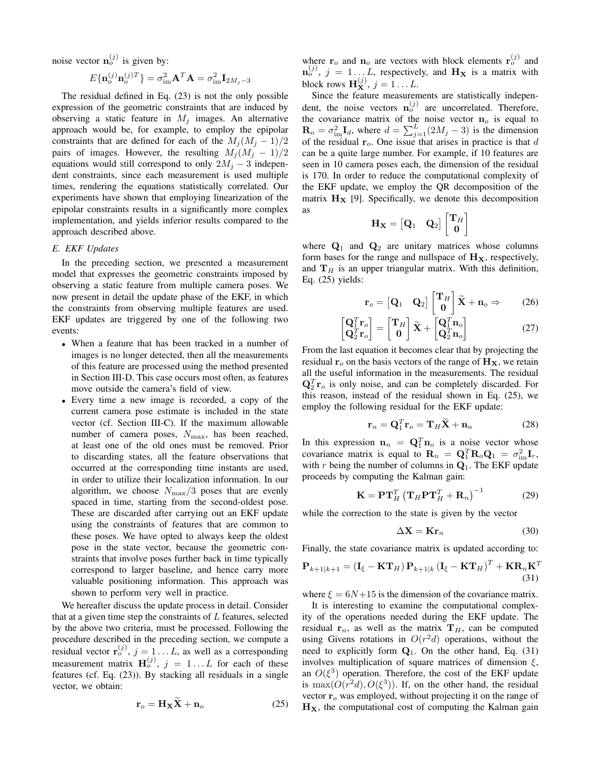noise vector  $\mathbf{n}_o^{(j)}$  is given by:

$$
E{\mathbf{n}_o^{(j)}\mathbf{n}_o^{(j)T}} = \sigma_{\text{im}}^2 \mathbf{A}^T \mathbf{A} = \sigma_{\text{im}}^2 \mathbf{I}_{2M_j-3}
$$

The residual defined in Eq. (23) is not the only possible expression of the geometric constraints that are induced by observing a static feature in  $M_i$  images. An alternative approach would be, for example, to employ the epipolar constraints that are defined for each of the  $M_i(M_i - 1)/2$ pairs of images. However, the resulting  $M_i(M_i - 1)/2$ equations would still correspond to only  $2M_i - 3$  independent constraints, since each measurement is used multiple times, rendering the equations statistically correlated. Our experiments have shown that employing linearization of the epipolar constraints results in a significantly more complex implementation, and yields inferior results compared to the approach described above.

# *E. EKF Updates*

In the preceding section, we presented a measurement model that expresses the geometric constraints imposed by observing a static feature from multiple camera poses. We now present in detail the update phase of the EKF, in which the constraints from observing multiple features are used. EKF updates are triggered by one of the following two events:

- *•* When a feature that has been tracked in a number of images is no longer detected, then all the measurements of this feature are processed using the method presented in Section III-D. This case occurs most often, as features move outside the camera's field of view.
- *•* Every time a new image is recorded, a copy of the current camera pose estimate is included in the state vector (cf. Section III-C). If the maximum allowable number of camera poses,  $N_{\text{max}}$ , has been reached, at least one of the old ones must be removed. Prior to discarding states, all the feature observations that occurred at the corresponding time instants are used, in order to utilize their localization information. In our algorithm, we choose  $N_{\text{max}}/3$  poses that are evenly spaced in time, starting from the second-oldest pose. These are discarded after carrying out an EKF update using the constraints of features that are common to these poses. We have opted to always keep the oldest pose in the state vector, because the geometric constraints that involve poses further back in time typically correspond to larger baseline, and hence carry more valuable positioning information. This approach was shown to perform very well in practice.

We hereafter discuss the update process in detail. Consider that at a given time step the constraints of  $L$  features, selected by the above two criteria, must be processed. Following the procedure described in the preceding section, we compute a residual vector  $\mathbf{r}_{o}^{(j)}$ ,  $j = 1...L$ , as well as a corresponding<br>measurement matrix  $\mathbf{H}^{(j)}$ ,  $j = 1...L$  for each of these measurement matrix  $\mathbf{H}_o^{(j)}$ ,  $j = 1...L$  for each of these features (cf. Eq. (23)). By stacking all residuals in a single vector, we obtain:

$$
\mathbf{r}_o = \mathbf{H}_\mathbf{X} \widetilde{\mathbf{X}} + \mathbf{n}_o \tag{25}
$$

where **r**<sub>o</sub> and **n**<sub>o</sub> are vectors with block elements  $\mathbf{r}_o^{(j)}$  and  $\mathbf{r}_o^{(j)}$  i and  $\mathbf{r}_o^{(j)}$  is a matrix with  $\mathbf{n}_o^{(j)}$ ,  $j = 1, \ldots, L$ , respectively, and  $\mathbf{H}_{\mathbf{X}}$  is a matrix with block rows  $\mathbf{H}_{\mathbf{X}}^{(j)}$ ,  $j = 1...L$ .<br>Since the feature measuren

Since the feature measurements are statistically independent, the noise vectors  $\mathbf{n}_{o}^{(j)}$  are uncorrelated. Therefore, the covariance matrix of the noise vector  $\mathbf{n}_{o}$  is equal to the covariance matrix of the noise vector **n**<sub>o</sub> is equal to  $\mathbf{R} = \sigma^2 \mathbf{I}$ , where  $d = \sum_{k=0}^{L} (2M - 3)$  is the dimension  $\mathbf{R}_o = \sigma_{\text{im}}^2 \mathbf{I}_d$ , where  $d = \sum_{j=1}^L (2M_j - 3)$  is the dimension of the residual r. One issue that grises in practice is that d of the residual  $\mathbf{r}_o$ . One issue that arises in practice is that d can be a quite large number. For example, if 10 features are seen in 10 camera poses each, the dimension of the residual is 170. In order to reduce the computational complexity of the EKF update, we employ the QR decomposition of the matrix  $\mathbf{H}_{\mathbf{X}}$  [9]. Specifically, we denote this decomposition as

$$
\mathbf{H}_{\mathbf{X}} = \begin{bmatrix} \mathbf{Q}_1 & \mathbf{Q}_2 \end{bmatrix} \begin{bmatrix} \mathbf{T}_H \\ \mathbf{0} \end{bmatrix}
$$

where  $\mathbf{Q}_1$  and  $\mathbf{Q}_2$  are unitary matrices whose columns form bases for the range and nullspace of  $H_X$ , respectively, and  $T_H$  is an upper triangular matrix. With this definition, Eq. (25) yields:

$$
\mathbf{r}_o = \begin{bmatrix} \mathbf{Q}_1 & \mathbf{Q}_2 \end{bmatrix} \begin{bmatrix} \mathbf{T}_H \\ \mathbf{0} \end{bmatrix} \widetilde{\mathbf{X}} + \mathbf{n}_o \Rightarrow (26)
$$

$$
\begin{bmatrix} \mathbf{Q}_1^T \mathbf{r}_o \\ \mathbf{Q}_2^T \mathbf{r}_o \end{bmatrix} = \begin{bmatrix} \mathbf{T}_H \\ \mathbf{0} \end{bmatrix} \widetilde{\mathbf{X}} + \begin{bmatrix} \mathbf{Q}_1^T \mathbf{n}_o \\ \mathbf{Q}_2^T \mathbf{n}_o \end{bmatrix}
$$
(27)

From the last equation it becomes clear that by projecting the residual  $\mathbf{r}_o$  on the basis vectors of the range of  $\mathbf{H}_\mathbf{X}$ , we retain all the useful information in the measurements. The residual  $\mathbf{Q}_2^T \mathbf{r}_o$  is only noise, and can be completely discarded. For this reason, instead of the residual shown in Eq. (25), we this reason, instead of the residual shown in Eq. (25), we employ the following residual for the EKF update:

$$
\mathbf{r}_n = \mathbf{Q}_1^T \mathbf{r}_o = \mathbf{T}_H \widetilde{\mathbf{X}} + \mathbf{n}_n \tag{28}
$$

In this expression  $\mathbf{n}_n = \mathbf{Q}_1^T \mathbf{n}_o$  is a noise vector whose covariance matrix is equal to  $\mathbf{R}_n = \mathbf{Q}_1^T \mathbf{R}_o \mathbf{Q}_1 = \sigma_{\text{in}}^2 \mathbf{I}_r$ , with r being the number of columns in  $\mathbf{Q}_1$ . The EKE undate with r being the number of columns in  $Q_1$ . The EKF update proceeds by computing the Kalman gain:

$$
\mathbf{K} = \mathbf{P}\mathbf{T}_{H}^{T} \left( \mathbf{T}_{H}\mathbf{P}\mathbf{T}_{H}^{T} + \mathbf{R}_{n} \right)^{-1}
$$
 (29)

while the correction to the state is given by the vector

$$
\Delta \mathbf{X} = \mathbf{K} \mathbf{r}_n \tag{30}
$$

Finally, the state covariance matrix is updated according to:

$$
\mathbf{P}_{k+1|k+1} = \left(\mathbf{I}_{\xi} - \mathbf{K} \mathbf{T}_{H}\right) \mathbf{P}_{k+1|k} \left(\mathbf{I}_{\xi} - \mathbf{K} \mathbf{T}_{H}\right)^{T} + \mathbf{K} \mathbf{R}_{n} \mathbf{K}^{T}
$$
\n(31)

where  $\xi = 6N+15$  is the dimension of the covariance matrix.

It is interesting to examine the computational complexity of the operations needed during the EKF update. The residual  $\mathbf{r}_n$ , as well as the matrix  $\mathbf{T}_H$ , can be computed using Givens rotations in  $O(r^2d)$  operations, without the need to explicitly form **<sup>Q</sup>**<sup>1</sup>. On the other hand, Eq. (31) involves multiplication of square matrices of dimension  $\xi$ , an  $O(\xi^3)$  operation. Therefore, the cost of the EKF update is max $(O(r^2d), O(\xi^3))$ . If, on the other hand, the residual vector  $r<sub>o</sub>$  was employed, without projecting it on the range of **H<sup>X</sup>**, the computational cost of computing the Kalman gain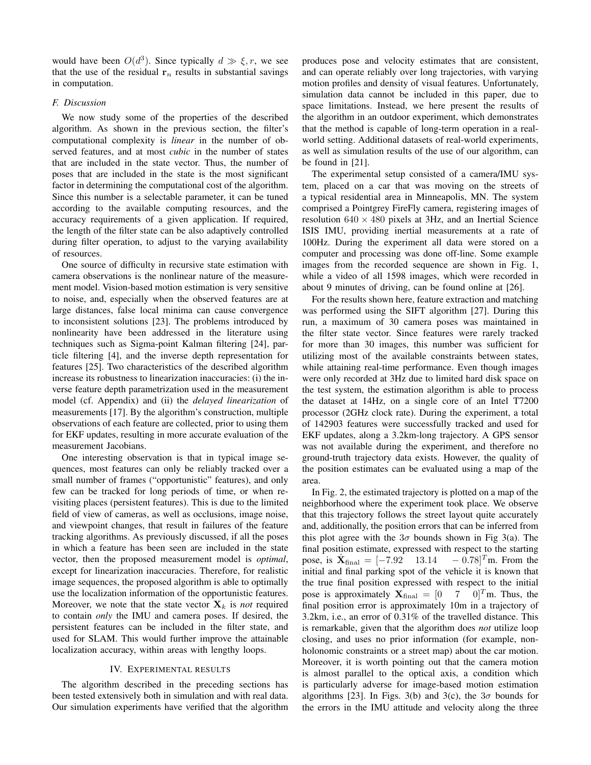would have been  $O(d^3)$ . Since typically  $d \gg \xi$ , r, we see that the use of the residual  $r_n$  results in substantial savings in computation.

# *F. Discussion*

We now study some of the properties of the described algorithm. As shown in the previous section, the filter's computational complexity is *linear* in the number of observed features, and at most *cubic* in the number of states that are included in the state vector. Thus, the number of poses that are included in the state is the most significant factor in determining the computational cost of the algorithm. Since this number is a selectable parameter, it can be tuned according to the available computing resources, and the accuracy requirements of a given application. If required, the length of the filter state can be also adaptively controlled during filter operation, to adjust to the varying availability of resources.

One source of difficulty in recursive state estimation with camera observations is the nonlinear nature of the measurement model. Vision-based motion estimation is very sensitive to noise, and, especially when the observed features are at large distances, false local minima can cause convergence to inconsistent solutions [23]. The problems introduced by nonlinearity have been addressed in the literature using techniques such as Sigma-point Kalman filtering [24], particle filtering [4], and the inverse depth representation for features [25]. Two characteristics of the described algorithm increase its robustness to linearization inaccuracies: (i) the inverse feature depth parametrization used in the measurement model (cf. Appendix) and (ii) the *delayed linearization* of measurements [17]. By the algorithm's construction, multiple observations of each feature are collected, prior to using them for EKF updates, resulting in more accurate evaluation of the measurement Jacobians.

One interesting observation is that in typical image sequences, most features can only be reliably tracked over a small number of frames ("opportunistic" features), and only few can be tracked for long periods of time, or when revisiting places (persistent features). This is due to the limited field of view of cameras, as well as occlusions, image noise, and viewpoint changes, that result in failures of the feature tracking algorithms. As previously discussed, if all the poses in which a feature has been seen are included in the state vector, then the proposed measurement model is *optimal*, except for linearization inaccuracies. Therefore, for realistic image sequences, the proposed algorithm is able to optimally use the localization information of the opportunistic features. Moreover, we note that the state vector  $X_k$  is *not* required to contain *only* the IMU and camera poses. If desired, the persistent features can be included in the filter state, and used for SLAM. This would further improve the attainable localization accuracy, within areas with lengthy loops.

# IV. EXPERIMENTAL RESULTS

The algorithm described in the preceding sections has been tested extensively both in simulation and with real data. Our simulation experiments have verified that the algorithm

produces pose and velocity estimates that are consistent, and can operate reliably over long trajectories, with varying motion profiles and density of visual features. Unfortunately, simulation data cannot be included in this paper, due to space limitations. Instead, we here present the results of the algorithm in an outdoor experiment, which demonstrates that the method is capable of long-term operation in a realworld setting. Additional datasets of real-world experiments, as well as simulation results of the use of our algorithm, can be found in [21].

The experimental setup consisted of a camera/IMU system, placed on a car that was moving on the streets of a typical residential area in Minneapolis, MN. The system comprised a Pointgrey FireFly camera, registering images of resolution  $640 \times 480$  pixels at 3Hz, and an Inertial Science ISIS IMU, providing inertial measurements at a rate of 100Hz. During the experiment all data were stored on a computer and processing was done off-line. Some example images from the recorded sequence are shown in Fig. 1, while a video of all 1598 images, which were recorded in about 9 minutes of driving, can be found online at [26].

For the results shown here, feature extraction and matching was performed using the SIFT algorithm [27]. During this run, a maximum of 30 camera poses was maintained in the filter state vector. Since features were rarely tracked for more than 30 images, this number was sufficient for utilizing most of the available constraints between states, while attaining real-time performance. Even though images were only recorded at 3Hz due to limited hard disk space on the test system, the estimation algorithm is able to process the dataset at 14Hz, on a single core of an Intel T7200 processor (2GHz clock rate). During the experiment, a total of 142903 features were successfully tracked and used for EKF updates, along a 3.2km-long trajectory. A GPS sensor was not available during the experiment, and therefore no ground-truth trajectory data exists. However, the quality of the position estimates can be evaluated using a map of the area.

In Fig. 2, the estimated trajectory is plotted on a map of the neighborhood where the experiment took place. We observe that this trajectory follows the street layout quite accurately and, additionally, the position errors that can be inferred from this plot agree with the  $3\sigma$  bounds shown in Fig 3(a). The final position estimate, expressed with respect to the starting pose, is  $\hat{\mathbf{X}}_{\text{final}} = \begin{bmatrix} -7.92 & 13.14 & -0.78 \end{bmatrix}^T$ m. From the initial and final parking spot of the vehicle it is known that the true final position expressed with respect to the initial pose is approximately  $X_{final} = \begin{bmatrix} 0 \\ 7 \\ 0 \end{bmatrix}^T m$ . Thus, the final position error is approximately 10m in a trajectory of 3.2km, i.e., an error of 0.31% of the travelled distance. This is remarkable, given that the algorithm does *not* utilize loop closing, and uses no prior information (for example, nonholonomic constraints or a street map) about the car motion. Moreover, it is worth pointing out that the camera motion is almost parallel to the optical axis, a condition which is particularly adverse for image-based motion estimation algorithms [23]. In Figs. 3(b) and 3(c), the  $3\sigma$  bounds for the errors in the IMU attitude and velocity along the three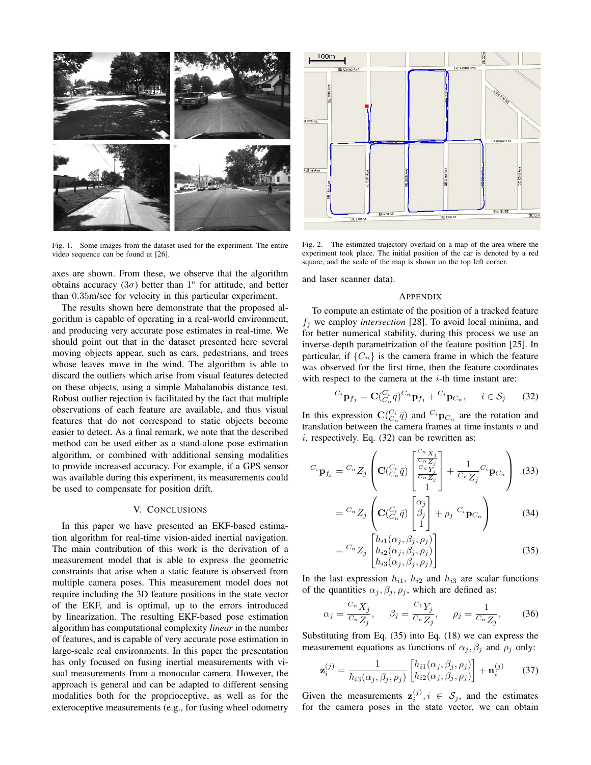

Fig. 1. Some images from the dataset used for the experiment. The entire video sequence can be found at [26].

axes are shown. From these, we observe that the algorithm obtains accuracy (3 $\sigma$ ) better than 1<sup>o</sup> for attitude, and better than 0.35m/sec for velocity in this particular experiment.

The results shown here demonstrate that the proposed algorithm is capable of operating in a real-world environment, and producing very accurate pose estimates in real-time. We should point out that in the dataset presented here several moving objects appear, such as cars, pedestrians, and trees whose leaves move in the wind. The algorithm is able to discard the outliers which arise from visual features detected on these objects, using a simple Mahalanobis distance test. Robust outlier rejection is facilitated by the fact that multiple observations of each feature are available, and thus visual features that do not correspond to static objects become easier to detect. As a final remark, we note that the described method can be used either as a stand-alone pose estimation algorithm, or combined with additional sensing modalities to provide increased accuracy. For example, if a GPS sensor was available during this experiment, its measurements could be used to compensate for position drift.

## V. CONCLUSIONS

In this paper we have presented an EKF-based estimation algorithm for real-time vision-aided inertial navigation. The main contribution of this work is the derivation of a measurement model that is able to express the geometric constraints that arise when a static feature is observed from multiple camera poses. This measurement model does not require including the 3D feature positions in the state vector of the EKF, and is optimal, up to the errors introduced by linearization. The resulting EKF-based pose estimation algorithm has computational complexity *linear* in the number of features, and is capable of very accurate pose estimation in large-scale real environments. In this paper the presentation has only focused on fusing inertial measurements with visual measurements from a monocular camera. However, the approach is general and can be adapted to different sensing modalities both for the proprioceptive, as well as for the exteroceptive measurements (e.g., for fusing wheel odometry



Fig. 2. The estimated trajectory overlaid on a map of the area where the experiment took place. The initial position of the car is denoted by a red square, and the scale of the map is shown on the top left corner.

and laser scanner data).

# APPENDIX

To compute an estimate of the position of a tracked feature  $f_j$  we employ *intersection* [28]. To avoid local minima, and for better numerical stability, during this process we use an inverse-depth parametrization of the feature position [25]. In particular, if  $\{C_n\}$  is the camera frame in which the feature was observed for the first time, then the feature coordinates with respect to the camera at the  $i$ -th time instant are:

$$
^{C_i}\mathbf{p}_{f_j} = \mathbf{C} \left( \begin{matrix} C_i \\ C_n \bar{q} \end{matrix} \right)^{C_n} \mathbf{p}_{f_j} + ^{C_i} \mathbf{p}_{C_n}, \quad i \in \mathcal{S}_j \tag{32}
$$

In this expression  $\mathbf{C}(\mathcal{C}_n^i \bar{q})$  and  $\mathcal{C}_i \mathbf{p}_{C_n}$  are the rotation and translation between the camera frames at time instants *n* and translation between the camera frames at time instants  $n$  and  $i$ , respectively. Eq. (32) can be rewritten as:

$$
C_i \mathbf{p}_{f_j} = C_n Z_j \left( \mathbf{C} \begin{pmatrix} C_i \\ C_n \bar{q} \end{pmatrix} \begin{bmatrix} \frac{C_n X_j}{C_n Z_j} \\ \frac{C_n Y_j}{C_n Z_j} \end{bmatrix} + \frac{1}{C_n Z_j} C_i \mathbf{p}_{C_n} \right) (33)
$$

$$
= {}^{C_n}Z_j \left( \mathbf{C} \begin{pmatrix} C_i \\ C_n \bar{q} \end{pmatrix} \begin{bmatrix} \alpha_j \\ \beta_j \\ 1 \end{bmatrix} + \rho_j {}^{C_i} \mathbf{p}_{C_n} \right) \tag{34}
$$

$$
= {}^{C_n}Z_j \begin{bmatrix} h_{i1}(\alpha_j, \beta_j, \rho_j) \\ h_{i2}(\alpha_j, \beta_j, \rho_j) \\ h_{i3}(\alpha_j, \beta_j, \rho_j) \end{bmatrix}
$$
(35)

In the last expression  $h_{i1}$ ,  $h_{i2}$  and  $h_{i3}$  are scalar functions of the quantities  $\alpha_j, \beta_j, \rho_j$ , which are defined as:

$$
\alpha_j = \frac{C_n X_j}{C_n Z_j}, \quad \beta_j = \frac{C_1 Y_j}{C_n Z_j}, \quad \rho_j = \frac{1}{C_n Z_j}, \quad (36)
$$

Substituting from Eq. (35) into Eq. (18) we can express the measurement equations as functions of  $\alpha_j$ ,  $\beta_j$  and  $\rho_j$  only:

$$
\mathbf{z}_{i}^{(j)} = \frac{1}{h_{i3}(\alpha_j, \beta_j, \rho_j)} \begin{bmatrix} h_{i1}(\alpha_j, \beta_j, \rho_j) \\ h_{i2}(\alpha_j, \beta_j, \rho_j) \end{bmatrix} + \mathbf{n}_{i}^{(j)} \qquad (37)
$$

Given the measurements  $\mathbf{z}_i^{(j)}$ ,  $i \in S_j$ , and the estimates for the camera poses in the state vector, we can obtain for the camera poses in the state vector, we can obtain